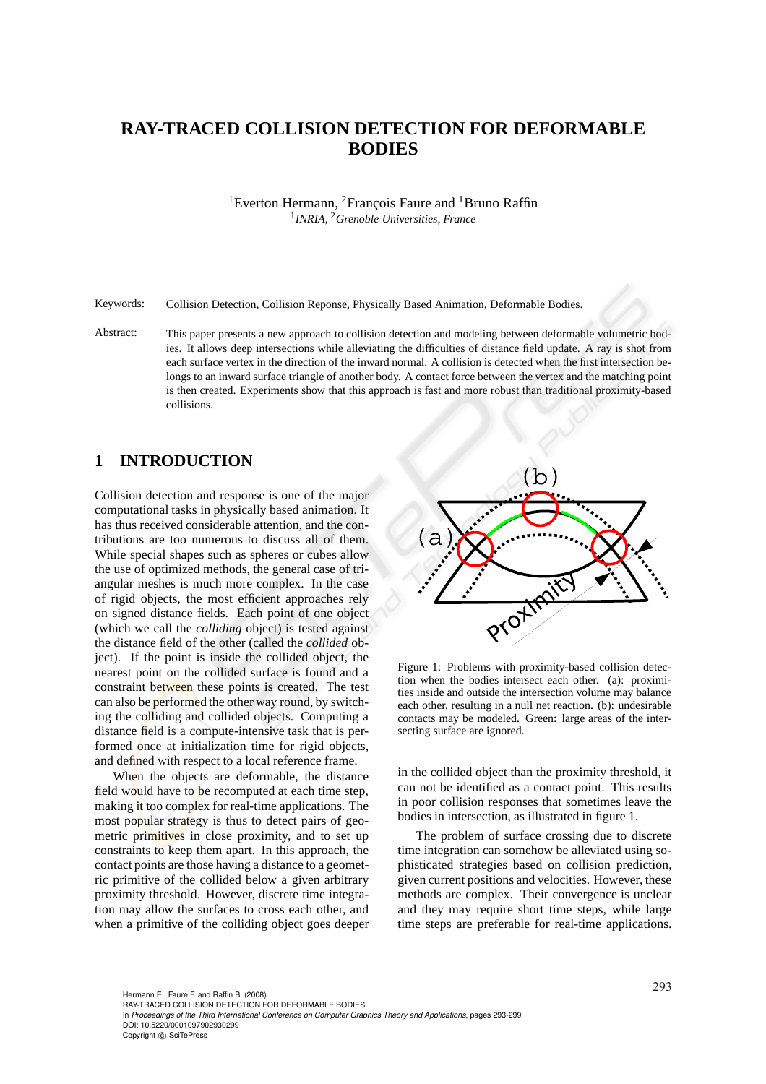# **RAY-TRACED COLLISION DETECTION FOR DEFORMABLE BODIES**

<sup>1</sup>Everton Hermann, <sup>2</sup>François Faure and <sup>1</sup>Bruno Raffin 1 *INRIA,* <sup>2</sup>*Grenoble Universities, France*

Keywords: Collision Detection, Collision Reponse, Physically Based Animation, Deformable Bodies.

Abstract: This paper presents a new approach to collision detection and modeling between deformable volumetric bodies. It allows deep intersections while alleviating the difficulties of distance field update. A ray is shot from each surface vertex in the direction of the inward normal. A collision is detected when the first intersection belongs to an inward surface triangle of another body. A contact force between the vertex and the matching point is then created. Experiments show that this approach is fast and more robust than traditional proximity-based collisions.

### **1 INTRODUCTION**

Collision detection and response is one of the major computational tasks in physically based animation. It has thus received considerable attention, and the contributions are too numerous to discuss all of them. While special shapes such as spheres or cubes allow the use of optimized methods, the general case of triangular meshes is much more complex. In the case of rigid objects, the most efficient approaches rely on signed distance fields. Each point of one object (which we call the *colliding* object) is tested against the distance field of the other (called the *collided* object). If the point is inside the collided object, the nearest point on the collided surface is found and a constraint between these points is created. The test can also be performed the other way round, by switching the colliding and collided objects. Computing a distance field is a compute-intensive task that is performed once at initialization time for rigid objects, and defined with respect to a local reference frame.

When the objects are deformable, the distance field would have to be recomputed at each time step, making it too complex for real-time applications. The most popular strategy is thus to detect pairs of geometric primitives in close proximity, and to set up constraints to keep them apart. In this approach, the contact points are those having a distance to a geometric primitive of the collided below a given arbitrary proximity threshold. However, discrete time integration may allow the surfaces to cross each other, and when a primitive of the colliding object goes deeper



Figure 1: Problems with proximity-based collision detection when the bodies intersect each other. (a): proximities inside and outside the intersection volume may balance each other, resulting in a null net reaction. (b): undesirable contacts may be modeled. Green: large areas of the intersecting surface are ignored.

in the collided object than the proximity threshold, it can not be identified as a contact point. This results in poor collision responses that sometimes leave the bodies in intersection, as illustrated in figure 1.

The problem of surface crossing due to discrete time integration can somehow be alleviated using sophisticated strategies based on collision prediction, given current positions and velocities. However, these methods are complex. Their convergence is unclear and they may require short time steps, while large time steps are preferable for real-time applications.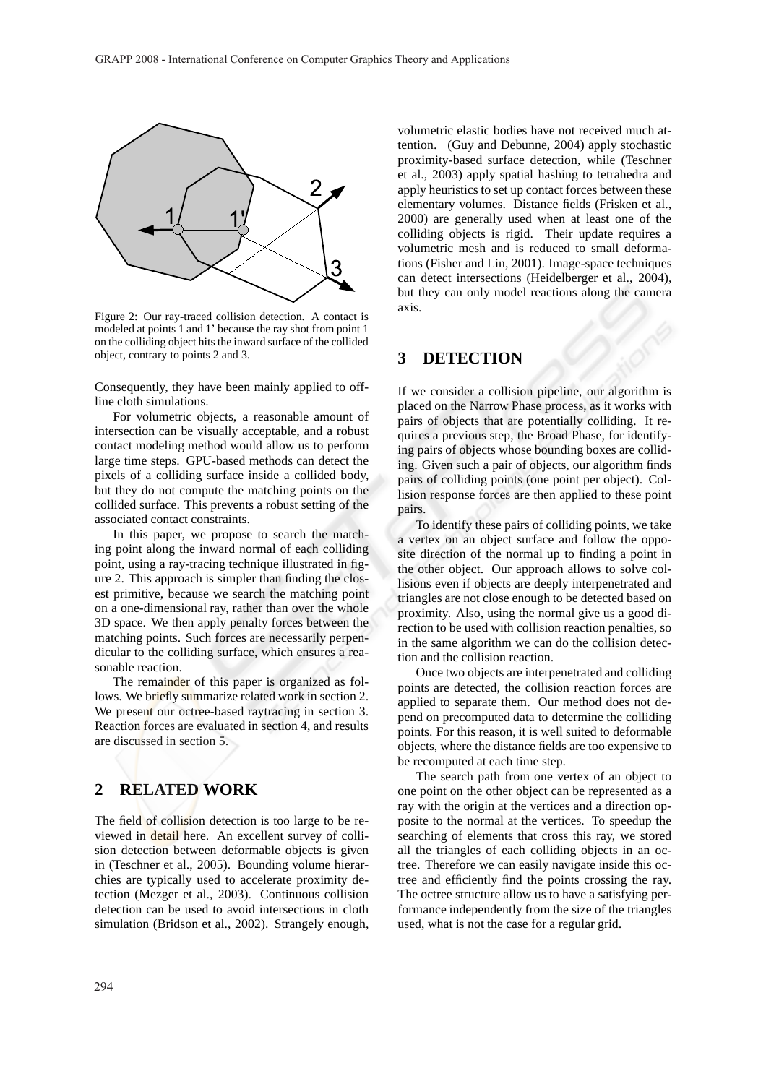

Figure 2: Our ray-traced collision detection. A contact is modeled at points 1 and 1' because the ray shot from point 1 on the colliding object hits the inward surface of the collided object, contrary to points 2 and 3.

Consequently, they have been mainly applied to offline cloth simulations.

For volumetric objects, a reasonable amount of intersection can be visually acceptable, and a robust contact modeling method would allow us to perform large time steps. GPU-based methods can detect the pixels of a colliding surface inside a collided body, but they do not compute the matching points on the collided surface. This prevents a robust setting of the associated contact constraints.

In this paper, we propose to search the matching point along the inward normal of each colliding point, using a ray-tracing technique illustrated in figure 2. This approach is simpler than finding the closest primitive, because we search the matching point on a one-dimensional ray, rather than over the whole 3D space. We then apply penalty forces between the matching points. Such forces are necessarily perpendicular to the colliding surface, which ensures a reasonable reaction.

The remainder of this paper is organized as follows. We briefly summarize related work in section 2. We present our octree-based raytracing in section 3. Reaction forces are evaluated in section 4, and results are discussed in section 5.

## **2 RELATED WORK**

The field of collision detection is too large to be reviewed in detail here. An excellent survey of collision detection between deformable objects is given in (Teschner et al., 2005). Bounding volume hierarchies are typically used to accelerate proximity detection (Mezger et al., 2003). Continuous collision detection can be used to avoid intersections in cloth simulation (Bridson et al., 2002). Strangely enough, volumetric elastic bodies have not received much attention. (Guy and Debunne, 2004) apply stochastic proximity-based surface detection, while (Teschner et al., 2003) apply spatial hashing to tetrahedra and apply heuristics to set up contact forces between these elementary volumes. Distance fields (Frisken et al., 2000) are generally used when at least one of the colliding objects is rigid. Their update requires a volumetric mesh and is reduced to small deformations (Fisher and Lin, 2001). Image-space techniques can detect intersections (Heidelberger et al., 2004), but they can only model reactions along the camera axis.

## **3 DETECTION**

If we consider a collision pipeline, our algorithm is placed on the Narrow Phase process, as it works with pairs of objects that are potentially colliding. It requires a previous step, the Broad Phase, for identifying pairs of objects whose bounding boxes are colliding. Given such a pair of objects, our algorithm finds pairs of colliding points (one point per object). Collision response forces are then applied to these point pairs.

To identify these pairs of colliding points, we take a vertex on an object surface and follow the opposite direction of the normal up to finding a point in the other object. Our approach allows to solve collisions even if objects are deeply interpenetrated and triangles are not close enough to be detected based on proximity. Also, using the normal give us a good direction to be used with collision reaction penalties, so in the same algorithm we can do the collision detection and the collision reaction.

Once two objects are interpenetrated and colliding points are detected, the collision reaction forces are applied to separate them. Our method does not depend on precomputed data to determine the colliding points. For this reason, it is well suited to deformable objects, where the distance fields are too expensive to be recomputed at each time step.

The search path from one vertex of an object to one point on the other object can be represented as a ray with the origin at the vertices and a direction opposite to the normal at the vertices. To speedup the searching of elements that cross this ray, we stored all the triangles of each colliding objects in an octree. Therefore we can easily navigate inside this octree and efficiently find the points crossing the ray. The octree structure allow us to have a satisfying performance independently from the size of the triangles used, what is not the case for a regular grid.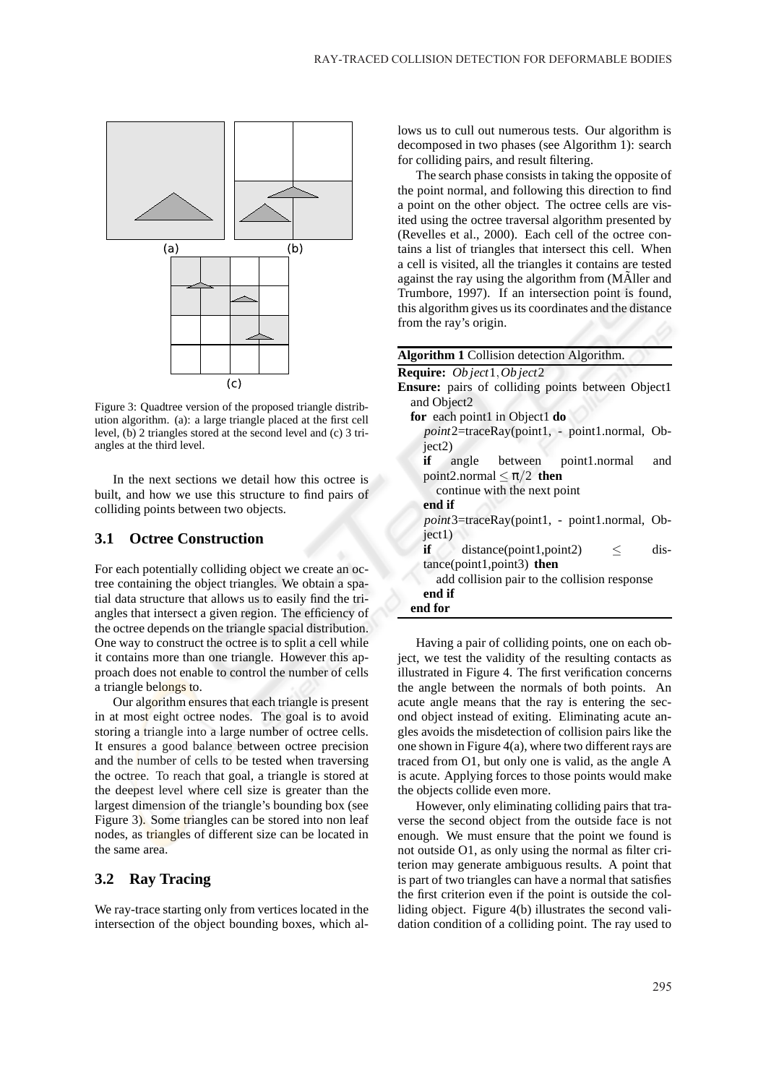

Figure 3: Quadtree version of the proposed triangle distribution algorithm. (a): a large triangle placed at the first cell level, (b) 2 triangles stored at the second level and (c) 3 triangles at the third level.

In the next sections we detail how this octree is built, and how we use this structure to find pairs of colliding points between two objects.

#### **3.1 Octree Construction**

For each potentially colliding object we create an octree containing the object triangles. We obtain a spatial data structure that allows us to easily find the triangles that intersect a given region. The efficiency of the octree depends on the triangle spacial distribution. One way to construct the octree is to split a cell while it contains more than one triangle. However this approach does not enable to control the number of cells a triangle belongs to.

Our algorithm ensures that each triangle is present in at most eight octree nodes. The goal is to avoid storing a triangle into a large number of octree cells. It ensures a good balance between octree precision and the number of cells to be tested when traversing the octree. To reach that goal, a triangle is stored at the deepest level where cell size is greater than the largest dimension of the triangle's bounding box (see Figure 3). Some triangles can be stored into non leaf nodes, as triangles of different size can be located in the same area.

### **3.2 Ray Tracing**

We ray-trace starting only from vertices located in the intersection of the object bounding boxes, which allows us to cull out numerous tests. Our algorithm is decomposed in two phases (see Algorithm 1): search for colliding pairs, and result filtering.

The search phase consists in taking the opposite of the point normal, and following this direction to find a point on the other object. The octree cells are visited using the octree traversal algorithm presented by (Revelles et al., 2000). Each cell of the octree contains a list of triangles that intersect this cell. When a cell is visited, all the triangles it contains are tested against the ray using the algorithm from (MAller and Trumbore, 1997). If an intersection point is found, this algorithm gives us its coordinates and the distance from the ray's origin.

| <b>Algorithm 1 Collision detection Algorithm.</b>        |
|----------------------------------------------------------|
| Require: Object1, Object2                                |
| <b>Ensure:</b> pairs of colliding points between Object1 |
| and Object <sub>2</sub>                                  |
| for each point1 in Object1 do                            |
| point2=traceRay(point1, - point1.normal, Ob-             |
| ject2)                                                   |
| <b>if</b> angle between point1.normal<br>and             |
| point2.normal $\leq \pi/2$ then                          |
| continue with the next point                             |
| end if                                                   |
| point3=traceRay(point1, - point1.normal, Ob-             |
| ject1)                                                   |
| dis-<br>$if \f$<br>distance(point1, point2)<br>$\leq$    |
| tance(point1,point3) then                                |
| add collision pair to the collision response             |
| end if                                                   |
| end for                                                  |

Having a pair of colliding points, one on each object, we test the validity of the resulting contacts as illustrated in Figure 4. The first verification concerns the angle between the normals of both points. An acute angle means that the ray is entering the second object instead of exiting. Eliminating acute angles avoids the misdetection of collision pairs like the one shown in Figure 4(a), where two different rays are traced from O1, but only one is valid, as the angle A is acute. Applying forces to those points would make the objects collide even more.

However, only eliminating colliding pairs that traverse the second object from the outside face is not enough. We must ensure that the point we found is not outside O1, as only using the normal as filter criterion may generate ambiguous results. A point that is part of two triangles can have a normal that satisfies the first criterion even if the point is outside the colliding object. Figure 4(b) illustrates the second validation condition of a colliding point. The ray used to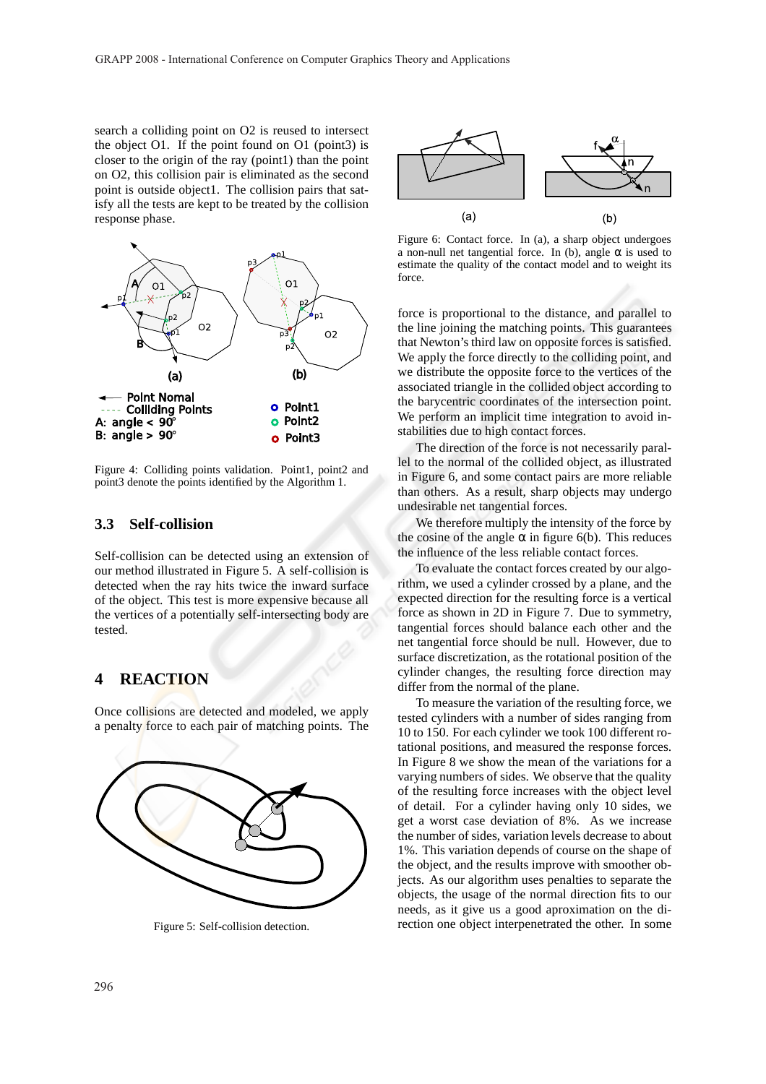search a colliding point on O2 is reused to intersect the object O1. If the point found on O1 (point3) is closer to the origin of the ray (point1) than the point on O2, this collision pair is eliminated as the second point is outside object1. The collision pairs that satisfy all the tests are kept to be treated by the collision response phase.



Figure 4: Colliding points validation. Point1, point2 and point3 denote the points identified by the Algorithm 1.

#### **3.3 Self-collision**

Self-collision can be detected using an extension of our method illustrated in Figure 5. A self-collision is detected when the ray hits twice the inward surface of the object. This test is more expensive because all the vertices of a potentially self-intersecting body are tested.

### **4 REACTION**

Once collisions are detected and modeled, we apply a penalty force to each pair of matching points. The



Figure 5: Self-collision detection.



Figure 6: Contact force. In (a), a sharp object undergoes a non-null net tangential force. In (b), angle  $\alpha$  is used to estimate the quality of the contact model and to weight its force.

force is proportional to the distance, and parallel to the line joining the matching points. This guarantees that Newton's third law on opposite forces is satisfied. We apply the force directly to the colliding point, and we distribute the opposite force to the vertices of the associated triangle in the collided object according to the barycentric coordinates of the intersection point. We perform an implicit time integration to avoid instabilities due to high contact forces.

The direction of the force is not necessarily parallel to the normal of the collided object, as illustrated in Figure 6, and some contact pairs are more reliable than others. As a result, sharp objects may undergo undesirable net tangential forces.

We therefore multiply the intensity of the force by the cosine of the angle  $\alpha$  in figure 6(b). This reduces the influence of the less reliable contact forces.

To evaluate the contact forces created by our algorithm, we used a cylinder crossed by a plane, and the expected direction for the resulting force is a vertical force as shown in 2D in Figure 7. Due to symmetry, tangential forces should balance each other and the net tangential force should be null. However, due to surface discretization, as the rotational position of the cylinder changes, the resulting force direction may differ from the normal of the plane.

To measure the variation of the resulting force, we tested cylinders with a number of sides ranging from 10 to 150. For each cylinder we took 100 different rotational positions, and measured the response forces. In Figure 8 we show the mean of the variations for a varying numbers of sides. We observe that the quality of the resulting force increases with the object level of detail. For a cylinder having only 10 sides, we get a worst case deviation of 8%. As we increase the number of sides, variation levels decrease to about 1%. This variation depends of course on the shape of the object, and the results improve with smoother objects. As our algorithm uses penalties to separate the objects, the usage of the normal direction fits to our needs, as it give us a good aproximation on the direction one object interpenetrated the other. In some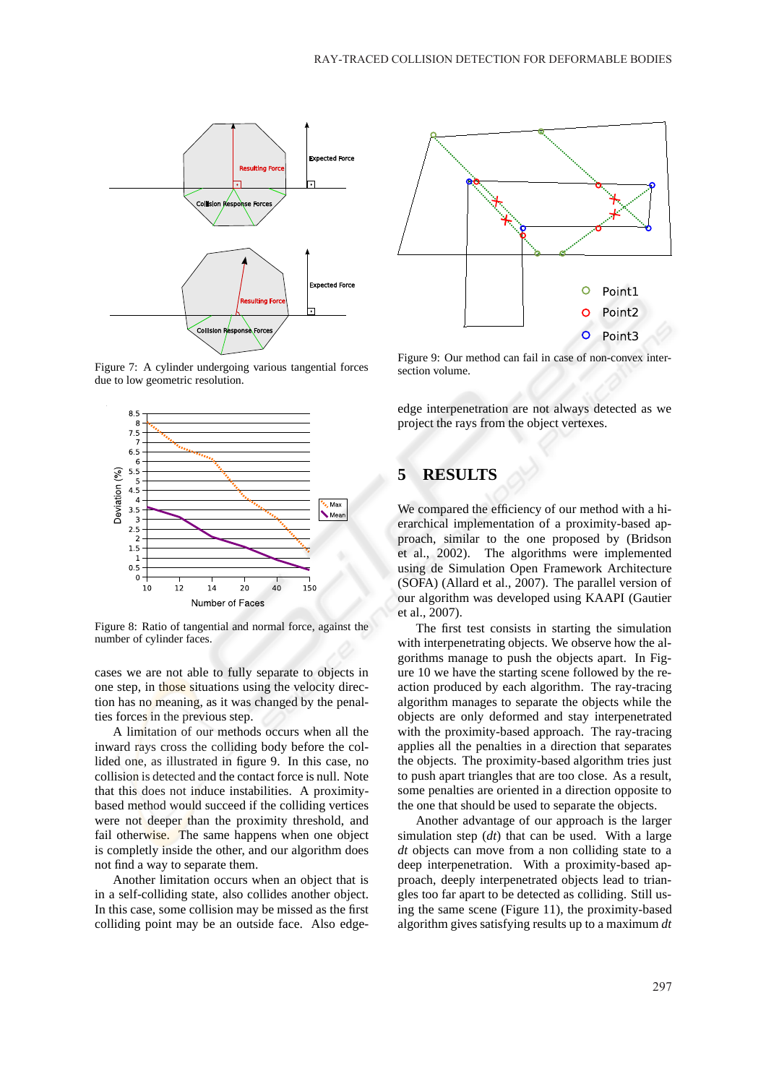

Figure 7: A cylinder undergoing various tangential forces due to low geometric resolution.



Figure 8: Ratio of tangential and normal force, against the number of cylinder faces.

cases we are not able to fully separate to objects in one step, in those situations using the velocity direction has no meaning, as it was changed by the penalties forces in the previous step.

A limitation of our methods occurs when all the inward rays cross the colliding body before the collided one, as illustrated in figure 9. In this case, no collision is detected and the contact force is null. Note that this does not induce instabilities. A proximitybased method would succeed if the colliding vertices were not deeper than the proximity threshold, and fail otherwise. The same happens when one object is completly inside the other, and our algorithm does not find a way to separate them.

Another limitation occurs when an object that is in a self-colliding state, also collides another object. In this case, some collision may be missed as the first colliding point may be an outside face. Also edge-



Figure 9: Our method can fail in case of non-convex intersection volume.

edge interpenetration are not always detected as we project the rays from the object vertexes.

## **5 RESULTS**

We compared the efficiency of our method with a hierarchical implementation of a proximity-based approach, similar to the one proposed by (Bridson et al., 2002). The algorithms were implemented using de Simulation Open Framework Architecture (SOFA) (Allard et al., 2007). The parallel version of our algorithm was developed using KAAPI (Gautier et al., 2007).

The first test consists in starting the simulation with interpenetrating objects. We observe how the algorithms manage to push the objects apart. In Figure 10 we have the starting scene followed by the reaction produced by each algorithm. The ray-tracing algorithm manages to separate the objects while the objects are only deformed and stay interpenetrated with the proximity-based approach. The ray-tracing applies all the penalties in a direction that separates the objects. The proximity-based algorithm tries just to push apart triangles that are too close. As a result, some penalties are oriented in a direction opposite to the one that should be used to separate the objects.

Another advantage of our approach is the larger simulation step (*dt*) that can be used. With a large *dt* objects can move from a non colliding state to a deep interpenetration. With a proximity-based approach, deeply interpenetrated objects lead to triangles too far apart to be detected as colliding. Still using the same scene (Figure 11), the proximity-based algorithm gives satisfying results up to a maximum *dt*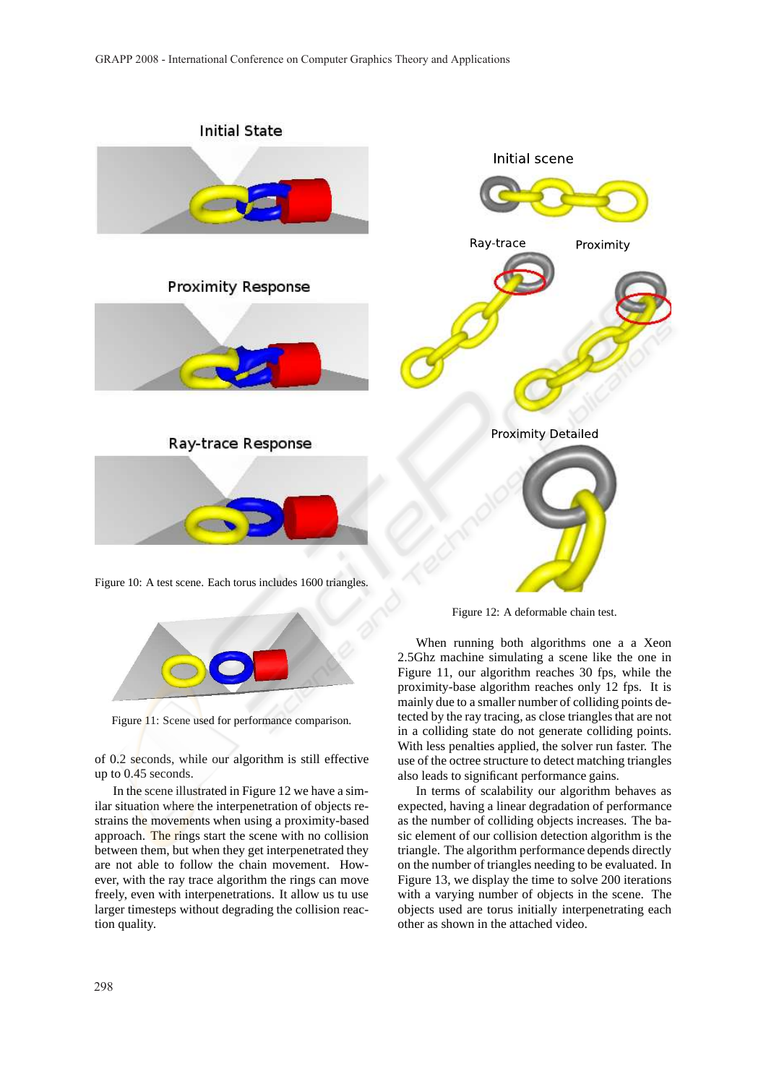

When running both algorithms one a a Xeon 2.5Ghz machine simulating a scene like the one in Figure 11, our algorithm reaches 30 fps, while the proximity-base algorithm reaches only 12 fps. It is mainly due to a smaller number of colliding points detected by the ray tracing, as close triangles that are not in a colliding state do not generate colliding points. With less penalties applied, the solver run faster. The use of the octree structure to detect matching triangles also leads to significant performance gains.

In terms of scalability our algorithm behaves as expected, having a linear degradation of performance as the number of colliding objects increases. The basic element of our collision detection algorithm is the triangle. The algorithm performance depends directly on the number of triangles needing to be evaluated. In Figure 13, we display the time to solve 200 iterations with a varying number of objects in the scene. The objects used are torus initially interpenetrating each other as shown in the attached video.

tion quality.

up to 0.45 seconds.

Figure 11: Scene used for performance comparison.

of 0.2 seconds, while our algorithm is still effective

In the scene illustrated in Figure 12 we have a similar situation where the interpenetration of objects restrains the movements when using a proximity-based approach. The rings start the scene with no collision between them, but when they get interpenetrated they are not able to follow the chain movement. However, with the ray trace algorithm the rings can move freely, even with interpenetrations. It allow us tu use